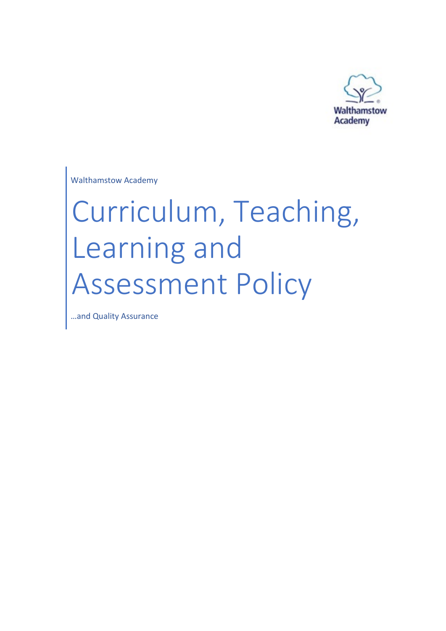

Walthamstow Academy

# Curriculum, Teaching, Learning and Assessment Policy

…and Quality Assurance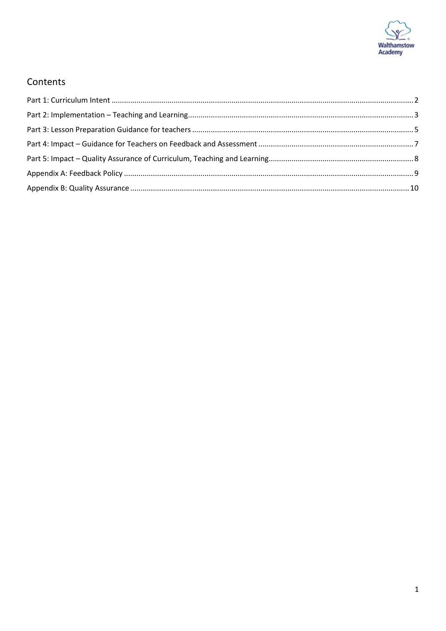

#### Contents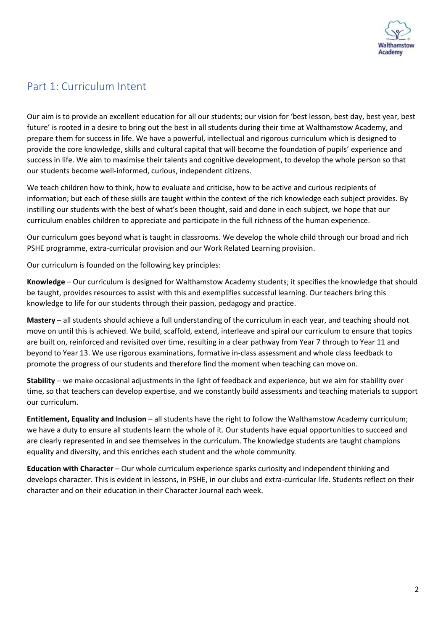

#### <span id="page-2-0"></span>Part 1: Curriculum Intent

Our aim is to provide an excellent education for all our students; our vision for 'best lesson, best day, best year, best future' is rooted in a desire to bring out the best in all students during their time at Walthamstow Academy, and prepare them for success in life. We have a powerful, intellectual and rigorous curriculum which is designed to provide the core knowledge, skills and cultural capital that will become the foundation of pupils' experience and success in life. We aim to maximise their talents and cognitive development, to develop the whole person so that our students become well-informed, curious, independent citizens.

We teach children how to think, how to evaluate and criticise, how to be active and curious recipients of information; but each of these skills are taught within the context of the rich knowledge each subject provides. By instilling our students with the best of what's been thought, said and done in each subject, we hope that our curriculum enables children to appreciate and participate in the full richness of the human experience.

Our curriculum goes beyond what is taught in classrooms. We develop the whole child through our broad and rich PSHE programme, extra-curricular provision and our Work Related Learning provision.

Our curriculum is founded on the following key principles:

**Knowledge** – Our curriculum is designed for Walthamstow Academy students; it specifies the knowledge that should be taught, provides resources to assist with this and exemplifies successful learning. Our teachers bring this knowledge to life for our students through their passion, pedagogy and practice.

**Mastery** – all students should achieve a full understanding of the curriculum in each year, and teaching should not move on until this is achieved. We build, scaffold, extend, interleave and spiral our curriculum to ensure that topics are built on, reinforced and revisited over time, resulting in a clear pathway from Year 7 through to Year 11 and beyond to Year 13. We use rigorous examinations, formative in-class assessment and whole class feedback to promote the progress of our students and therefore find the moment when teaching can move on.

**Stability** – we make occasional adjustments in the light of feedback and experience, but we aim for stability over time, so that teachers can develop expertise, and we constantly build assessments and teaching materials to support our curriculum.

**Entitlement, Equality and Inclusion** – all students have the right to follow the Walthamstow Academy curriculum; we have a duty to ensure all students learn the whole of it. Our students have equal opportunities to succeed and are clearly represented in and see themselves in the curriculum. The knowledge students are taught champions equality and diversity, and this enriches each student and the whole community.

**Education with Character** – Our whole curriculum experience sparks curiosity and independent thinking and develops character. This is evident in lessons, in PSHE, in our clubs and extra-curricular life. Students reflect on their character and on their education in their Character Journal each week.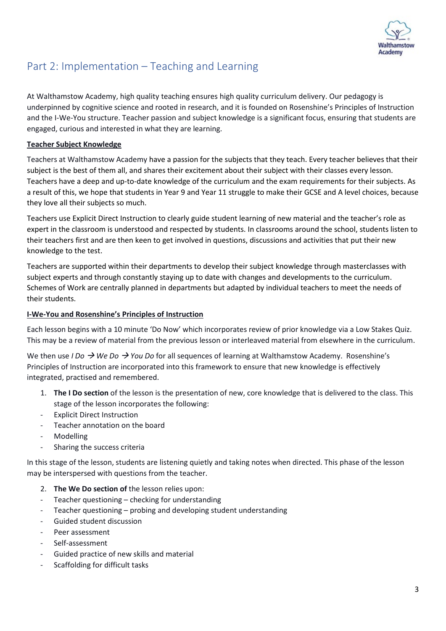

## <span id="page-3-0"></span>Part 2: Implementation – Teaching and Learning

At Walthamstow Academy, high quality teaching ensures high quality curriculum delivery. Our pedagogy is underpinned by cognitive science and rooted in research, and it is founded on Rosenshine's Principles of Instruction and the I-We-You structure. Teacher passion and subject knowledge is a significant focus, ensuring that students are engaged, curious and interested in what they are learning.

#### **Teacher Subject Knowledge**

Teachers at Walthamstow Academy have a passion for the subjects that they teach. Every teacher believes that their subject is the best of them all, and shares their excitement about their subject with their classes every lesson. Teachers have a deep and up-to-date knowledge of the curriculum and the exam requirements for their subjects. As a result of this, we hope that students in Year 9 and Year 11 struggle to make their GCSE and A level choices, because they love all their subjects so much.

Teachers use Explicit Direct Instruction to clearly guide student learning of new material and the teacher's role as expert in the classroom is understood and respected by students. In classrooms around the school, students listen to their teachers first and are then keen to get involved in questions, discussions and activities that put their new knowledge to the test.

Teachers are supported within their departments to develop their subject knowledge through masterclasses with subject experts and through constantly staying up to date with changes and developments to the curriculum. Schemes of Work are centrally planned in departments but adapted by individual teachers to meet the needs of their students.

#### **I-We-You and Rosenshine's Principles of Instruction**

Each lesson begins with a 10 minute 'Do Now' which incorporates review of prior knowledge via a Low Stakes Quiz. This may be a review of material from the previous lesson or interleaved material from elsewhere in the curriculum.

We then use *I Do*  $\rightarrow$  *We Do*  $\rightarrow$  *You Do* for all sequences of learning at Walthamstow Academy. Rosenshine's Principles of Instruction are incorporated into this framework to ensure that new knowledge is effectively integrated, practised and remembered.

- 1. **The I Do section** of the lesson is the presentation of new, core knowledge that is delivered to the class. This stage of the lesson incorporates the following:
- Explicit Direct Instruction
- Teacher annotation on the board
- **Modelling**
- Sharing the success criteria

In this stage of the lesson, students are listening quietly and taking notes when directed. This phase of the lesson may be interspersed with questions from the teacher.

- 2. **The We Do section of** the lesson relies upon:
- Teacher questioning checking for understanding
- Teacher questioning probing and developing student understanding
- Guided student discussion
- Peer assessment
- Self-assessment
- Guided practice of new skills and material
- Scaffolding for difficult tasks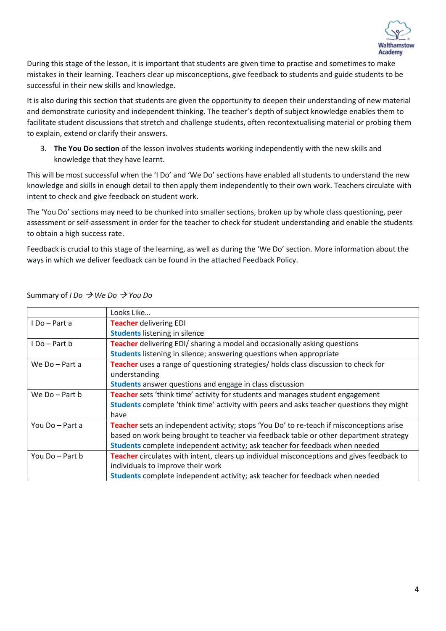

During this stage of the lesson, it is important that students are given time to practise and sometimes to make mistakes in their learning. Teachers clear up misconceptions, give feedback to students and guide students to be successful in their new skills and knowledge.

It is also during this section that students are given the opportunity to deepen their understanding of new material and demonstrate curiosity and independent thinking. The teacher's depth of subject knowledge enables them to facilitate student discussions that stretch and challenge students, often recontextualising material or probing them to explain, extend or clarify their answers.

3. **The You Do section** of the lesson involves students working independently with the new skills and knowledge that they have learnt.

This will be most successful when the 'I Do' and 'We Do' sections have enabled all students to understand the new knowledge and skills in enough detail to then apply them independently to their own work. Teachers circulate with intent to check and give feedback on student work.

The 'You Do' sections may need to be chunked into smaller sections, broken up by whole class questioning, peer assessment or self-assessment in order for the teacher to check for student understanding and enable the students to obtain a high success rate.

Feedback is crucial to this stage of the learning, as well as during the 'We Do' section. More information about the ways in which we deliver feedback can be found in the attached Feedback Policy.

|                    | Looks Like                                                                                      |
|--------------------|-------------------------------------------------------------------------------------------------|
| I Do – Part a      | <b>Teacher delivering EDI</b>                                                                   |
|                    | <b>Students listening in silence</b>                                                            |
| I Do – Part b      | Teacher delivering EDI/ sharing a model and occasionally asking questions                       |
|                    | <b>Students</b> listening in silence; answering questions when appropriate                      |
| We Do - Part a     | Teacher uses a range of questioning strategies/ holds class discussion to check for             |
|                    | understanding                                                                                   |
|                    | <b>Students</b> answer questions and engage in class discussion                                 |
| We $Do$ – Part $b$ | Teacher sets 'think time' activity for students and manages student engagement                  |
|                    | Students complete 'think time' activity with peers and asks teacher questions they might        |
|                    | have                                                                                            |
| You Do - Part a    | <b>Teacher</b> sets an independent activity; stops 'You Do' to re-teach if misconceptions arise |
|                    | based on work being brought to teacher via feedback table or other department strategy          |
|                    | Students complete independent activity; ask teacher for feedback when needed                    |
| You Do - Part b    | Teacher circulates with intent, clears up individual misconceptions and gives feedback to       |
|                    | individuals to improve their work                                                               |
|                    | Students complete independent activity; ask teacher for feedback when needed                    |

Summary of *I Do We Do You Do*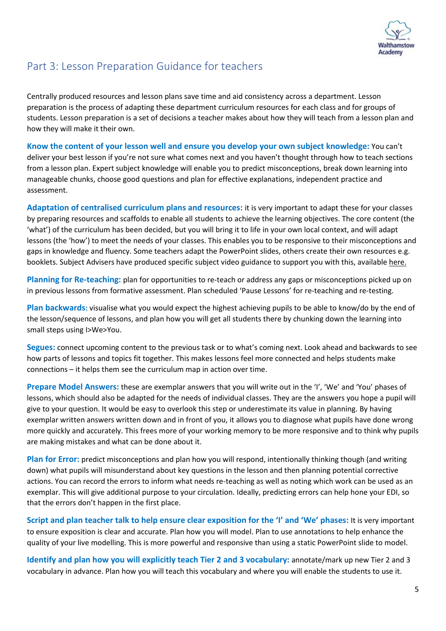

### <span id="page-5-0"></span>Part 3: Lesson Preparation Guidance for teachers

Centrally produced resources and lesson plans save time and aid consistency across a department. Lesson preparation is the process of adapting these department curriculum resources for each class and for groups of students. Lesson preparation is a set of decisions a teacher makes about how they will teach from a lesson plan and how they will make it their own.

**Know the content of your lesson well and ensure you develop your own subject knowledge:** You can't deliver your best lesson if you're not sure what comes next and you haven't thought through how to teach sections from a lesson plan. Expert subject knowledge will enable you to predict misconceptions, break down learning into manageable chunks, choose good questions and plan for effective explanations, independent practice and assessment.

**Adaptation of centralised curriculum plans and resources:** it is very important to adapt these for your classes by preparing resources and scaffolds to enable all students to achieve the learning objectives. The core content (the 'what') of the curriculum has been decided, but you will bring it to life in your own local context, and will adapt lessons (the 'how') to meet the needs of your classes. This enables you to be responsive to their misconceptions and gaps in knowledge and fluency. Some teachers adapt the PowerPoint slides, others create their own resources e.g. booklets. Subject Advisers have produced specific subject video guidance to support you with this, availabl[e here.](https://unitedlearning.sharepoint.com/:x:/r/sites/SecondaryTeam/_layouts/15/Doc.aspx?sourcedoc=%7B7D5BBCFB-C405-4E88-A0EE-2E2A273BD31D%7D&file=CPD%20Subject%20Catalogue.xlsx&wdLOR=c8B925702-E420-41A3-8CDC-2E99003C5A87&action=default&mobileredirect=true)

**Planning for Re-teaching:** plan for opportunities to re-teach or address any gaps or misconceptions picked up on in previous lessons from formative assessment. Plan scheduled 'Pause Lessons' for re-teaching and re-testing.

**Plan backwards:** visualise what you would expect the highest achieving pupils to be able to know/do by the end of the lesson/sequence of lessons, and plan how you will get all students there by chunking down the learning into small steps using I>We>You.

**Segues:** connect upcoming content to the previous task or to what's coming next. Look ahead and backwards to see how parts of lessons and topics fit together. This makes lessons feel more connected and helps students make connections – it helps them see the curriculum map in action over time.

**Prepare Model Answers:** these are exemplar answers that you will write out in the 'I', 'We' and 'You' phases of lessons, which should also be adapted for the needs of individual classes. They are the answers you hope a pupil will give to your question. It would be easy to overlook this step or underestimate its value in planning. By having exemplar written answers written down and in front of you, it allows you to diagnose what pupils have done wrong more quickly and accurately. This frees more of your working memory to be more responsive and to think why pupils are making mistakes and what can be done about it.

**Plan for Error:** predict misconceptions and plan how you will respond, intentionally thinking though (and writing down) what pupils will misunderstand about key questions in the lesson and then planning potential corrective actions. You can record the errors to inform what needs re-teaching as well as noting which work can be used as an exemplar. This will give additional purpose to your circulation. Ideally, predicting errors can help hone your EDI, so that the errors don't happen in the first place.

**Script and plan teacher talk to help ensure clear exposition for the 'I' and 'We' phases:** It is very important to ensure exposition is clear and accurate. Plan how you will model. Plan to use annotations to help enhance the quality of your live modelling. This is more powerful and responsive than using a static PowerPoint slide to model.

**Identify and plan how you will explicitly teach Tier 2 and 3 vocabulary:** annotate/mark up new Tier 2 and 3 vocabulary in advance. Plan how you will teach this vocabulary and where you will enable the students to use it.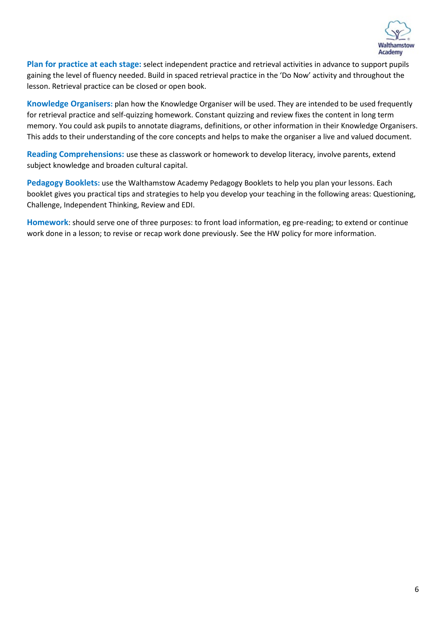

**Plan for practice at each stage:** select independent practice and retrieval activities in advance to support pupils gaining the level of fluency needed. Build in spaced retrieval practice in the 'Do Now' activity and throughout the lesson. Retrieval practice can be closed or open book.

**Knowledge Organisers:** plan how the Knowledge Organiser will be used. They are intended to be used frequently for retrieval practice and self-quizzing homework. Constant quizzing and review fixes the content in long term memory. You could ask pupils to annotate diagrams, definitions, or other information in their Knowledge Organisers. This adds to their understanding of the core concepts and helps to make the organiser a live and valued document.

**Reading Comprehensions:** use these as classwork or homework to develop literacy, involve parents, extend subject knowledge and broaden cultural capital.

**Pedagogy Booklets:** use the Walthamstow Academy Pedagogy Booklets to help you plan your lessons. Each booklet gives you practical tips and strategies to help you develop your teaching in the following areas: Questioning, Challenge, Independent Thinking, Review and EDI.

**Homework**: should serve one of three purposes: to front load information, eg pre-reading; to extend or continue work done in a lesson; to revise or recap work done previously. See the HW policy for more information.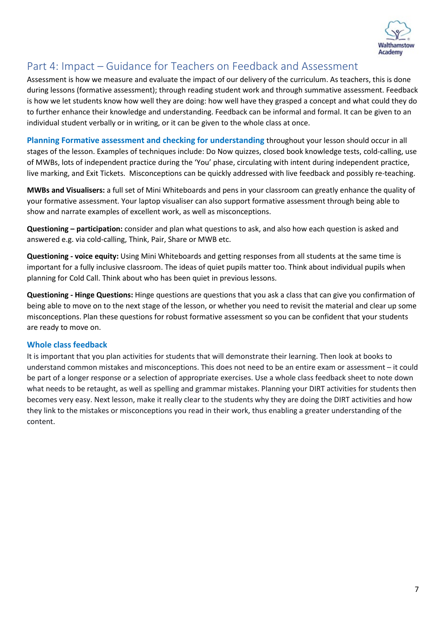

#### <span id="page-7-0"></span>Part 4: Impact – Guidance for Teachers on Feedback and Assessment

Assessment is how we measure and evaluate the impact of our delivery of the curriculum. As teachers, this is done during lessons (formative assessment); through reading student work and through summative assessment. Feedback is how we let students know how well they are doing: how well have they grasped a concept and what could they do to further enhance their knowledge and understanding. Feedback can be informal and formal. It can be given to an individual student verbally or in writing, or it can be given to the whole class at once.

**Planning Formative assessment and checking for understanding** throughout your lesson should occur in all stages of the lesson. Examples of techniques include: Do Now quizzes, closed book knowledge tests, cold-calling, use of MWBs, lots of independent practice during the 'You' phase, circulating with intent during independent practice, live marking, and Exit Tickets. Misconceptions can be quickly addressed with live feedback and possibly re-teaching.

**MWBs and Visualisers:** a full set of Mini Whiteboards and pens in your classroom can greatly enhance the quality of your formative assessment. Your laptop visualiser can also support formative assessment through being able to show and narrate examples of excellent work, as well as misconceptions.

**Questioning – participation:** consider and plan what questions to ask, and also how each question is asked and answered e.g. via cold-calling, Think, Pair, Share or MWB etc.

**Questioning - voice equity:** Using Mini Whiteboards and getting responses from all students at the same time is important for a fully inclusive classroom. The ideas of quiet pupils matter too. Think about individual pupils when planning for Cold Call. Think about who has been quiet in previous lessons.

**Questioning - Hinge Questions:** Hinge questions are questions that you ask a class that can give you confirmation of being able to move on to the next stage of the lesson, or whether you need to revisit the material and clear up some misconceptions. Plan these questions for robust formative assessment so you can be confident that your students are ready to move on.

#### **Whole class feedback**

It is important that you plan activities for students that will demonstrate their learning. Then look at books to understand common mistakes and misconceptions. This does not need to be an entire exam or assessment – it could be part of a longer response or a selection of appropriate exercises. Use a whole class feedback sheet to note down what needs to be retaught, as well as spelling and grammar mistakes. Planning your DIRT activities for students then becomes very easy. Next lesson, make it really clear to the students why they are doing the DIRT activities and how they link to the mistakes or misconceptions you read in their work, thus enabling a greater understanding of the content.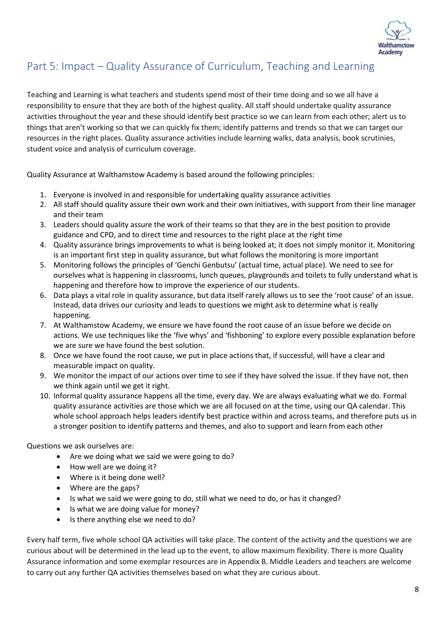

## <span id="page-8-0"></span>Part 5: Impact – Quality Assurance of Curriculum, Teaching and Learning

Teaching and Learning is what teachers and students spend most of their time doing and so we all have a responsibility to ensure that they are both of the highest quality. All staff should undertake quality assurance activities throughout the year and these should identify best practice so we can learn from each other; alert us to things that aren't working so that we can quickly fix them; identify patterns and trends so that we can target our resources in the right places. Quality assurance activities include learning walks, data analysis, book scrutinies, student voice and analysis of curriculum coverage.

Quality Assurance at Walthamstow Academy is based around the following principles:

- 1. Everyone is involved in and responsible for undertaking quality assurance activities
- 2. All staff should quality assure their own work and their own initiatives, with support from their line manager and their team
- 3. Leaders should quality assure the work of their teams so that they are in the best position to provide guidance and CPD, and to direct time and resources to the right place at the right time
- 4. Quality assurance brings improvements to what is being looked at; it does not simply monitor it. Monitoring is an important first step in quality assurance, but what follows the monitoring is more important
- 5. Monitoring follows the principles of 'Genchi Genbutsu' (actual time, actual place). We need to see for ourselves what is happening in classrooms, lunch queues, playgrounds and toilets to fully understand what is happening and therefore how to improve the experience of our students.
- 6. Data plays a vital role in quality assurance, but data itself rarely allows us to see the 'root cause' of an issue. Instead, data drives our curiosity and leads to questions we might ask to determine what is really happening.
- 7. At Walthamstow Academy, we ensure we have found the root cause of an issue before we decide on actions. We use techniques like the 'five whys' and 'fishboning' to explore every possible explanation before we are sure we have found the best solution.
- 8. Once we have found the root cause, we put in place actions that, if successful, will have a clear and measurable impact on quality.
- 9. We monitor the impact of our actions over time to see if they have solved the issue. If they have not, then we think again until we get it right.
- 10. Informal quality assurance happens all the time, every day. We are always evaluating what we do. Formal quality assurance activities are those which we are all focused on at the time, using our QA calendar. This whole school approach helps leaders identify best practice within and across teams, and therefore puts us in a stronger position to identify patterns and themes, and also to support and learn from each other

Questions we ask ourselves are:

- Are we doing what we said we were going to do?
- How well are we doing it?
- Where is it being done well?
- Where are the gaps?
- Is what we said we were going to do, still what we need to do, or has it changed?
- Is what we are doing value for money?
- Is there anything else we need to do?

Every half term, five whole school QA activities will take place. The content of the activity and the questions we are curious about will be determined in the lead up to the event, to allow maximum flexibility. There is more Quality Assurance information and some exemplar resources are in Appendix B. Middle Leaders and teachers are welcome to carry out any further QA activities themselves based on what they are curious about.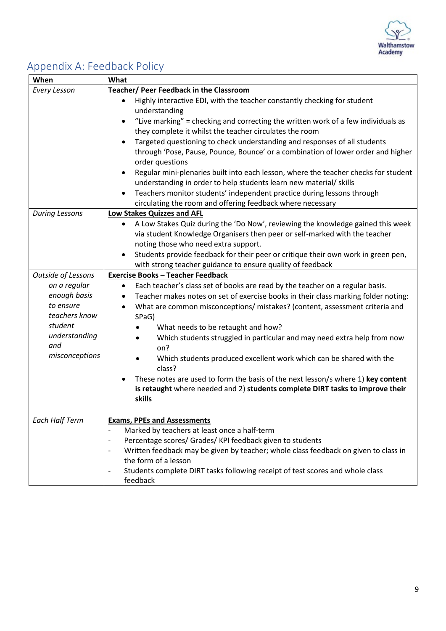

# <span id="page-9-0"></span>Appendix A: Feedback Policy

| When                  | What                                                                                                                                            |
|-----------------------|-------------------------------------------------------------------------------------------------------------------------------------------------|
| <b>Every Lesson</b>   | <b>Teacher/ Peer Feedback in the Classroom</b>                                                                                                  |
|                       | Highly interactive EDI, with the teacher constantly checking for student<br>$\bullet$                                                           |
|                       | understanding                                                                                                                                   |
|                       | "Live marking" = checking and correcting the written work of a few individuals as<br>٠                                                          |
|                       | they complete it whilst the teacher circulates the room                                                                                         |
|                       | Targeted questioning to check understanding and responses of all students<br>$\bullet$                                                          |
|                       | through 'Pose, Pause, Pounce, Bounce' or a combination of lower order and higher                                                                |
|                       | order questions                                                                                                                                 |
|                       | Regular mini-plenaries built into each lesson, where the teacher checks for student<br>$\bullet$                                                |
|                       | understanding in order to help students learn new material/ skills                                                                              |
|                       | Teachers monitor students' independent practice during lessons through                                                                          |
|                       | circulating the room and offering feedback where necessary                                                                                      |
| <b>During Lessons</b> | Low Stakes Quizzes and AFL                                                                                                                      |
|                       | A Low Stakes Quiz during the 'Do Now', reviewing the knowledge gained this week<br>$\bullet$                                                    |
|                       | via student Knowledge Organisers then peer or self-marked with the teacher<br>noting those who need extra support.                              |
|                       | $\bullet$                                                                                                                                       |
|                       | Students provide feedback for their peer or critique their own work in green pen,<br>with strong teacher guidance to ensure quality of feedback |
| Outside of Lessons    | <b>Exercise Books - Teacher Feedback</b>                                                                                                        |
| on a regular          | Each teacher's class set of books are read by the teacher on a regular basis.<br>$\bullet$                                                      |
| enough basis          | Teacher makes notes on set of exercise books in their class marking folder noting:<br>$\bullet$                                                 |
| to ensure             | What are common misconceptions/ mistakes? (content, assessment criteria and<br>$\bullet$                                                        |
| teachers know         | SPaG)                                                                                                                                           |
| student               | What needs to be retaught and how?                                                                                                              |
| understanding         | Which students struggled in particular and may need extra help from now<br>٠                                                                    |
| and                   | on?                                                                                                                                             |
| misconceptions        | Which students produced excellent work which can be shared with the<br>$\bullet$                                                                |
|                       | class?                                                                                                                                          |
|                       | These notes are used to form the basis of the next lesson/s where 1) key content                                                                |
|                       | is retaught where needed and 2) students complete DIRT tasks to improve their                                                                   |
|                       | skills                                                                                                                                          |
|                       |                                                                                                                                                 |
| <b>Each Half Term</b> | <b>Exams, PPEs and Assessments</b>                                                                                                              |
|                       | Marked by teachers at least once a half-term                                                                                                    |
|                       | Percentage scores/ Grades/ KPI feedback given to students<br>$\qquad \qquad \blacksquare$                                                       |
|                       | Written feedback may be given by teacher; whole class feedback on given to class in<br>$\qquad \qquad \blacksquare$                             |
|                       | the form of a lesson                                                                                                                            |
|                       | Students complete DIRT tasks following receipt of test scores and whole class                                                                   |
|                       | feedback                                                                                                                                        |